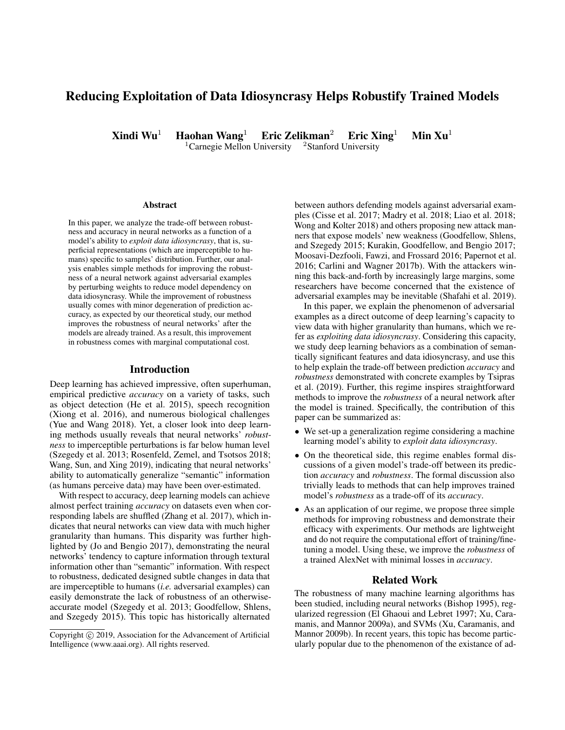# Reducing Exploitation of Data Idiosyncrasy Helps Robustify Trained Models

Xindi Wu<sup>1</sup> Haohan Wang<sup>1</sup> Eric Zelikman<sup>2</sup> Eric Xing<sup>1</sup> Min Xu<sup>1</sup>

 $1$ Carnegie Mellon University  $2$ Stanford University

#### Abstract

In this paper, we analyze the trade-off between robustness and accuracy in neural networks as a function of a model's ability to *exploit data idiosyncrasy*, that is, superficial representations (which are imperceptible to humans) specific to samples' distribution. Further, our analysis enables simple methods for improving the robustness of a neural network against adversarial examples by perturbing weights to reduce model dependency on data idiosyncrasy. While the improvement of robustness usually comes with minor degeneration of prediction accuracy, as expected by our theoretical study, our method improves the robustness of neural networks' after the models are already trained. As a result, this improvement in robustness comes with marginal computational cost.

#### Introduction

Deep learning has achieved impressive, often superhuman, empirical predictive *accuracy* on a variety of tasks, such as object detection (He et al. 2015), speech recognition (Xiong et al. 2016), and numerous biological challenges (Yue and Wang 2018). Yet, a closer look into deep learning methods usually reveals that neural networks' *robustness* to imperceptible perturbations is far below human level (Szegedy et al. 2013; Rosenfeld, Zemel, and Tsotsos 2018; Wang, Sun, and Xing 2019), indicating that neural networks' ability to automatically generalize "semantic" information (as humans perceive data) may have been over-estimated.

With respect to accuracy, deep learning models can achieve almost perfect training *accuracy* on datasets even when corresponding labels are shuffled (Zhang et al. 2017), which indicates that neural networks can view data with much higher granularity than humans. This disparity was further highlighted by (Jo and Bengio 2017), demonstrating the neural networks' tendency to capture information through textural information other than "semantic" information. With respect to robustness, dedicated designed subtle changes in data that are imperceptible to humans (*i.e.* adversarial examples) can easily demonstrate the lack of robustness of an otherwiseaccurate model (Szegedy et al. 2013; Goodfellow, Shlens, and Szegedy 2015). This topic has historically alternated

between authors defending models against adversarial examples (Cisse et al. 2017; Madry et al. 2018; Liao et al. 2018; Wong and Kolter 2018) and others proposing new attack manners that expose models' new weakness (Goodfellow, Shlens, and Szegedy 2015; Kurakin, Goodfellow, and Bengio 2017; Moosavi-Dezfooli, Fawzi, and Frossard 2016; Papernot et al. 2016; Carlini and Wagner 2017b). With the attackers winning this back-and-forth by increasingly large margins, some researchers have become concerned that the existence of adversarial examples may be inevitable (Shafahi et al. 2019).

In this paper, we explain the phenomenon of adversarial examples as a direct outcome of deep learning's capacity to view data with higher granularity than humans, which we refer as *exploiting data idiosyncrasy*. Considering this capacity, we study deep learning behaviors as a combination of semantically significant features and data idiosyncrasy, and use this to help explain the trade-off between prediction *accuracy* and *robustness* demonstrated with concrete examples by Tsipras et al. (2019). Further, this regime inspires straightforward methods to improve the *robustness* of a neural network after the model is trained. Specifically, the contribution of this paper can be summarized as:

- We set-up a generalization regime considering a machine learning model's ability to *exploit data idiosyncrasy*.
- On the theoretical side, this regime enables formal discussions of a given model's trade-off between its prediction *accuracy* and *robustness*. The formal discussion also trivially leads to methods that can help improves trained model's *robustness* as a trade-off of its *accuracy*.
- As an application of our regime, we propose three simple methods for improving robustness and demonstrate their efficacy with experiments. Our methods are lightweight and do not require the computational effort of training/finetuning a model. Using these, we improve the *robustness* of a trained AlexNet with minimal losses in *accuracy*.

### Related Work

The robustness of many machine learning algorithms has been studied, including neural networks (Bishop 1995), regularized regression (El Ghaoui and Lebret 1997; Xu, Caramanis, and Mannor 2009a), and SVMs (Xu, Caramanis, and Mannor 2009b). In recent years, this topic has become particularly popular due to the phenomenon of the existance of ad-

Copyright  $\odot$  2019, Association for the Advancement of Artificial Intelligence (www.aaai.org). All rights reserved.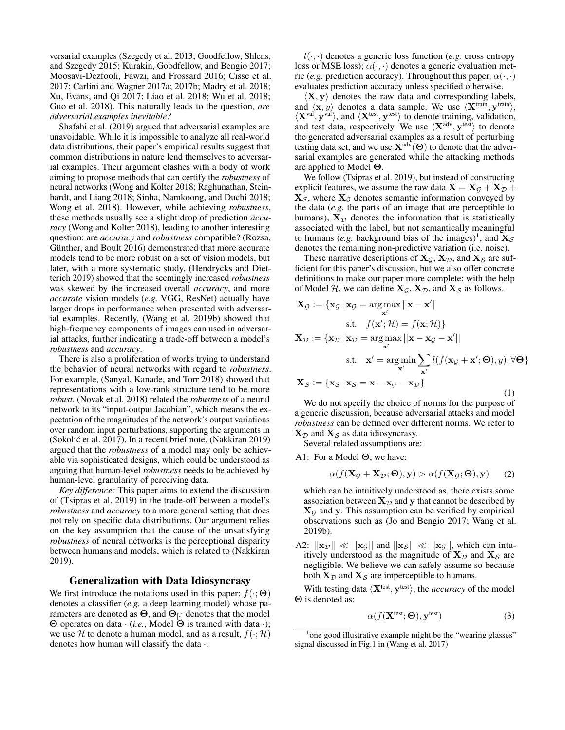versarial examples (Szegedy et al. 2013; Goodfellow, Shlens, and Szegedy 2015; Kurakin, Goodfellow, and Bengio 2017; Moosavi-Dezfooli, Fawzi, and Frossard 2016; Cisse et al. 2017; Carlini and Wagner 2017a; 2017b; Madry et al. 2018; Xu, Evans, and Qi 2017; Liao et al. 2018; Wu et al. 2018; Guo et al. 2018). This naturally leads to the question, *are adversarial examples inevitable?*

Shafahi et al. (2019) argued that adversarial examples are unavoidable. While it is impossible to analyze all real-world data distributions, their paper's empirical results suggest that common distributions in nature lend themselves to adversarial examples. Their argument clashes with a body of work aiming to propose methods that can certify the *robustness* of neural networks (Wong and Kolter 2018; Raghunathan, Steinhardt, and Liang 2018; Sinha, Namkoong, and Duchi 2018; Wong et al. 2018). However, while achieving *robustness*, these methods usually see a slight drop of prediction *accuracy* (Wong and Kolter 2018), leading to another interesting question: are *accuracy* and *robustness* compatible? (Rozsa, Günther, and Boult 2016) demonstrated that more accurate models tend to be more robust on a set of vision models, but later, with a more systematic study, (Hendrycks and Dietterich 2019) showed that the seemingly increased *robustness* was skewed by the increased overall *accuracy*, and more *accurate* vision models (*e.g.* VGG, ResNet) actually have larger drops in performance when presented with adversarial examples. Recently, (Wang et al. 2019b) showed that high-frequency components of images can used in adversarial attacks, further indicating a trade-off between a model's *robustness* and *accuracy*.

There is also a proliferation of works trying to understand the behavior of neural networks with regard to *robustness*. For example, (Sanyal, Kanade, and Torr 2018) showed that representations with a low-rank structure tend to be more *robust*. (Novak et al. 2018) related the *robustness* of a neural network to its "input-output Jacobian", which means the expectation of the magnitudes of the network's output variations over random input perturbations, supporting the arguments in (Sokolić et al. 2017). In a recent brief note, (Nakkiran 2019) argued that the *robustness* of a model may only be achievable via sophisticated designs, which could be understood as arguing that human-level *robustness* needs to be achieved by human-level granularity of perceiving data.

*Key difference:* This paper aims to extend the discussion of (Tsipras et al. 2019) in the trade-off between a model's *robustness* and *accuracy* to a more general setting that does not rely on specific data distributions. Our argument relies on the key assumption that the cause of the unsatisfying *robustness* of neural networks is the perceptional disparity between humans and models, which is related to (Nakkiran 2019).

#### Generalization with Data Idiosyncrasy

We first introduce the notations used in this paper:  $f(\cdot; \Theta)$ denotes a classifier (*e.g.* a deep learning model) whose parameters are denoted as  $\Theta$ , and  $\Theta_{[.]}$  denotes that the model Θ operates on data · (*i.e.*, Model Θ is trained with data ·); we use H to denote a human model, and as a result,  $f(\cdot; \mathcal{H})$ denotes how human will classify the data ·.

 $l(\cdot, \cdot)$  denotes a generic loss function (*e.g.* cross entropy loss or MSE loss);  $\alpha(\cdot, \cdot)$  denotes a generic evaluation metric (*e.g.* prediction accuracy). Throughout this paper,  $\alpha(\cdot, \cdot)$ evaluates prediction accuracy unless specified otherwise.

 $\langle X, y \rangle$  denotes the raw data and corresponding labels, and  $\langle \mathbf{x}, y \rangle$  denotes a data sample. We use  $\langle \mathbf{X}^{\text{train}}, \mathbf{y}^{\text{train}} \rangle$ ,  $\langle X<sup>val</sup>, y<sup>val</sup> \rangle$ , and  $\langle X<sup>test</sup>, y<sup>test</sup> \rangle$  to denote training, validation, and test data, respectively. We use  $\langle \mathbf{X}^{\text{adv}}, \mathbf{y}^{\text{test}} \rangle$  to denote the generated adversarial examples as a result of perturbing testing data set, and we use  $X^{adv}(\Theta)$  to denote that the adversarial examples are generated while the attacking methods are applied to Model Θ.

We follow (Tsipras et al. 2019), but instead of constructing explicit features, we assume the raw data  $X = X_{\mathcal{G}} + X_{\mathcal{D}} +$  $X_{\mathcal{S}}$ , where  $X_{\mathcal{G}}$  denotes semantic information conveyed by the data (*e.g.* the parts of an image that are perceptible to humans),  $X_{\mathcal{D}}$  denotes the information that is statistically associated with the label, but not semantically meaningful to humans (*e.g.* background bias of the images)<sup>1</sup>, and  $\mathbf{X}_{\mathcal{S}}$ denotes the remaining non-predictive variation (i.e. noise).

These narrative descriptions of  $X_{\mathcal{G}}, X_{\mathcal{D}}$ , and  $X_{\mathcal{S}}$  are sufficient for this paper's discussion, but we also offer concrete definitions to make our paper more complete: with the help of Model H, we can define  $X_{\mathcal{G}}, X_{\mathcal{D}}$ , and  $X_{\mathcal{S}}$  as follows.

$$
\mathbf{X}_{\mathcal{G}} := \{ \mathbf{x}_{\mathcal{G}} \mid \mathbf{x}_{\mathcal{G}} = \underset{\mathbf{x}'}{\arg \max} ||\mathbf{x} - \mathbf{x}'||
$$
\ns.t.  $f(\mathbf{x}'; \mathcal{H}) = f(\mathbf{x}; \mathcal{H}) \}$ \n
$$
\mathbf{X}_{\mathcal{D}} := \{ \mathbf{x}_{\mathcal{D}} \mid \mathbf{x}_{\mathcal{D}} = \underset{\mathbf{x}'}{\arg \max} ||\mathbf{x} - \mathbf{x}_{\mathcal{G}} - \mathbf{x}'||
$$
\ns.t.  $\mathbf{x}' = \underset{\mathbf{x}'}{\arg \min} \sum_{\mathbf{x}'} l(f(\mathbf{x}_{\mathcal{G}} + \mathbf{x}'; \Theta), y), \forall \Theta \}$ \n
$$
\mathbf{X}_{\mathcal{S}} := \{ \mathbf{x}_{\mathcal{S}} \mid \mathbf{x}_{\mathcal{S}} = \mathbf{x} - \mathbf{x}_{\mathcal{G}} - \mathbf{x}_{\mathcal{D}} \}
$$
\n(1)

We do not specify the choice of norms for the purpose of a generic discussion, because adversarial attacks and model *robustness* can be defined over different norms. We refer to  $X_{\mathcal{D}}$  and  $X_{\mathcal{S}}$  as data idiosyncrasy.

Several related assumptions are:

A1: For a Model Θ, we have:

$$
\alpha(f(\mathbf{X}_{\mathcal{G}} + \mathbf{X}_{\mathcal{D}}; \boldsymbol{\Theta}), \mathbf{y}) > \alpha(f(\mathbf{X}_{\mathcal{G}}; \boldsymbol{\Theta}), \mathbf{y}) \qquad (2)
$$

which can be intuitively understood as, there exists some association between  $X_{\mathcal{D}}$  and y that cannot be described by  $X_G$  and y. This assumption can be verified by empirical observations such as (Jo and Bengio 2017; Wang et al. 2019b).

A2:  $||\mathbf{x}_{\mathcal{D}}|| \ll ||\mathbf{x}_{\mathcal{G}}||$  and  $||\mathbf{x}_{\mathcal{S}}|| \ll ||\mathbf{x}_{\mathcal{G}}||$ , which can intuitively understood as the magnitude of  $X_{\mathcal{D}}$  and  $X_{\mathcal{S}}$  are negligible. We believe we can safely assume so because both  $X_{\mathcal{D}}$  and  $X_{\mathcal{S}}$  are imperceptible to humans.

With testing data  $\langle X<sup>test</sup>, y<sup>test</sup> \rangle$ , the *accuracy* of the model Θ is denoted as:

$$
\alpha(f(\mathbf{X}^{\text{test}};\boldsymbol{\Theta}), \mathbf{y}^{\text{test}})
$$
 (3)

<sup>&</sup>lt;sup>1</sup> one good illustrative example might be the "wearing glasses" signal discussed in Fig.1 in (Wang et al. 2017)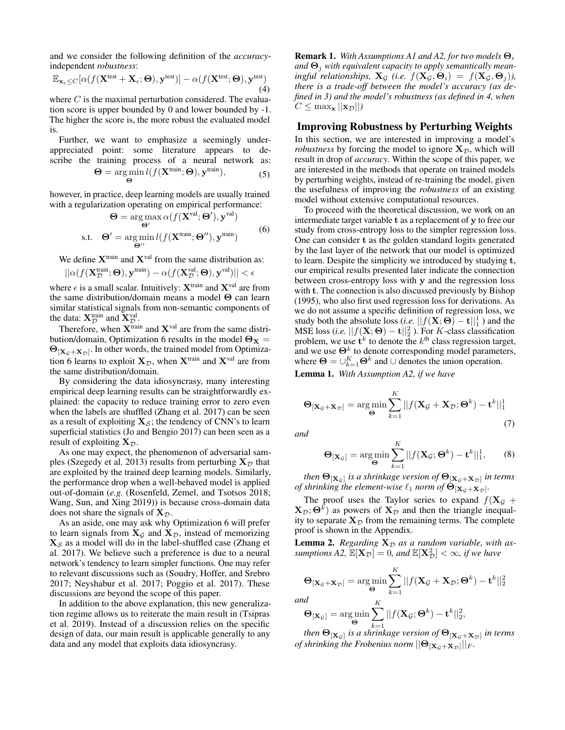and we consider the following definition of the *accuracy*independent *robustness*:

$$
\mathbb{E}_{\mathbf{x}_{\epsilon} \leq C}[\alpha(f(\mathbf{X}^{\text{test}} + \mathbf{X}_{\epsilon}; \boldsymbol{\Theta}), \mathbf{y}^{\text{test}})] - \alpha(f(\mathbf{X}^{\text{test}}; \boldsymbol{\Theta}), \mathbf{y}^{\text{test}}) \tag{4}
$$

where  $C$  is the maximal perturbation considered. The evaluation score is upper bounded by 0 and lower bounded by -1. The higher the score is, the more robust the evaluated model is.

Further, we want to emphasize a seemingly underappreciated point: some literature appears to describe the training process of a neural network as:

$$
\mathbf{\Theta} = \underset{\mathbf{\Theta}}{\arg\min} \, l(f(\mathbf{X}^{\text{train}}; \mathbf{\Theta}), \mathbf{y}^{\text{train}}), \tag{5}
$$

however, in practice, deep learning models are usually trained with a regularization operating on empirical performance:

$$
\Theta = \arg \max_{\Theta'} \alpha(f(\mathbf{X}^{\text{val}}; \Theta'), \mathbf{y}^{\text{val}})
$$
  
s.t. 
$$
\Theta' = \arg \min_{\Theta''} l(f(\mathbf{X}^{\text{train}}; \Theta''), \mathbf{y}^{\text{train}})
$$
(6)

We define  $X^{train}$  and  $X^{val}$  from the same distribution as:

$$
||\alpha(f(\mathbf{X}_{\mathcal{D}}^{\text{train}};\boldsymbol{\Theta}),\mathbf{y}^{\text{train}})-\alpha(f(\mathbf{X}_{\mathcal{D}}^{\text{val}};\boldsymbol{\Theta}),\mathbf{y}^{\text{val}})||<\epsilon
$$

where  $\epsilon$  is a small scalar. Intuitively:  $X^{train}$  and  $X^{val}$  are from the same distribution/domain means a model Θ can learn similar statistical signals from non-semantic components of the data:  $\mathbf{X}_{\mathcal{D}}^{\text{train}}$  and  $\mathbf{X}_{\mathcal{D}}^{\text{val}}$ .

Therefore, when  $X^{train}$  and  $X^{val}$  are from the same distribution/domain, Optimization 6 results in the model  $\Theta_{\mathbf{X}} =$  $\Theta_{[{\bf X}_{\mathcal{G}}+{\bf X}_{\mathcal{D}}]}$ . In other words, the trained model from Optimization 6 learns to exploit  $X_{\mathcal{D}}$ , when  $X^{\text{train}}$  and  $X^{\text{val}}$  are from the same distribution/domain.

By considering the data idiosyncrasy, many interesting empirical deep learning results can be straightforwardly explained: the capacity to reduce training error to zero even when the labels are shuffled (Zhang et al. 2017) can be seen as a result of exploiting  $X_{\mathcal{S}}$ ; the tendency of CNN's to learn superficial statistics (Jo and Bengio 2017) can been seen as a result of exploiting  $X_{\mathcal{D}}$ .

As one may expect, the phenomenon of adversarial samples (Szegedy et al. 2013) results from perturbing  $X_{\mathcal{D}}$  that are exploited by the trained deep learning models. Similarly, the performance drop when a well-behaved model is applied out-of-domain (*e.g.* (Rosenfeld, Zemel, and Tsotsos 2018; Wang, Sun, and Xing 2019)) is because cross-domain data does not share the signals of  $X_{\mathcal{D}}$ .

As an aside, one may ask why Optimization 6 will prefer to learn signals from  $X_{\mathcal{G}}$  and  $X_{\mathcal{D}}$ , instead of memorizing  $X_{\mathcal{S}}$  as a model will do in the label-shuffled case (Zhang et al. 2017). We believe such a preference is due to a neural network's tendency to learn simpler functions. One may refer to relevant discussions such as (Soudry, Hoffer, and Srebro 2017; Neyshabur et al. 2017; Poggio et al. 2017). These discussions are beyond the scope of this paper.

In addition to the above explanation, this new generalization regime allows us to reiterate the main result in (Tsipras et al. 2019). Instead of a discussion relies on the specific design of data, our main result is applicable generally to any data and any model that exploits data idiosyncrasy.

**Remark 1.** *With Assumptions A1 and A2, for two models*  $\Theta_i$ and  $\Theta_i$  with equivalent capacity to apply semantically mean*ingful relationships,*  $\mathbf{X}_{\mathcal{G}}$  *(i.e.*  $f(\mathbf{X}_{\mathcal{G}}, \mathbf{\Theta}_i) = f(\mathbf{X}_{\mathcal{G}}, \mathbf{\Theta}_i)$ *), there is a trade-off between the model's accuracy (as defined in 3) and the model's robustness (as defined in 4, when*  $C \leq \max_{\mathbf{x}} ||\mathbf{x}_{\mathcal{D}}||$ 

## Improving Robustness by Perturbing Weights

In this section, we are interested in improving a model's *robustness* by forcing the model to ignore  $X_{\mathcal{D}}$ , which will result in drop of *accuracy*. Within the scope of this paper, we are interested in the methods that operate on trained models by perturbing weights, instead of re-training the model, given the usefulness of improving the *robustness* of an existing model without extensive computational resources.

To proceed with the theoretical discussion, we work on an intermediate target variable t as a replacement of y to free our study from cross-entropy loss to the simpler regression loss. One can consider t as the golden standard logits generated by the last layer of the network that our model is optimized to learn. Despite the simplicity we introduced by studying t, our empirical results presented later indicate the connection between cross-entropy loss with y and the regression loss with **t**. The connection is also discussed previously by Bishop (1995), who also first used regression loss for derivations. As we do not assume a specific definition of regression loss, we study both the absolute loss (*i.e.*  $|| f(\mathbf{X}; \boldsymbol{\Theta}) - \mathbf{t} ||_1^1$  ) and the MSE loss (*i.e.*  $|| f(\mathbf{X}; \mathbf{\Theta}) - \mathbf{t} ||_2^2$  ). For *K*-class classification problem, we use  $t^k$  to denote the  $k^{\text{th}}$  class regression target, and we use  $\Theta^k$  to denote corresponding model parameters, where  $\mathbf{\Theta} = \bigcup_{k=1}^{K} \mathbf{\Theta}^{k}$  and  $\cup$  denotes the union operation.

Lemma 1. *With Assumption A2, if we have*

$$
\mathbf{\Theta}_{[\mathbf{X}_{\mathcal{G}}+\mathbf{X}_{\mathcal{D}}]} = \arg\min_{\mathbf{\Theta}} \sum_{k=1}^{K} ||f(\mathbf{X}_{\mathcal{G}}+\mathbf{X}_{\mathcal{D}};\mathbf{\Theta}^k) - \mathbf{t}^k||_1^1
$$
\n(7)

*and*

$$
\mathbf{\Theta}_{[\mathbf{X}_{\mathcal{G}}]} = \arg\min_{\mathbf{\Theta}} \sum_{k=1}^{K} ||f(\mathbf{X}_{\mathcal{G}}; \mathbf{\Theta}^k) - \mathbf{t}^k||_1^1, \qquad (8)
$$

then  $\Theta_{[{\bf X}_\mathcal{G}]}$  is a shrinkage version of  $\Theta_{[{\bf X}_\mathcal{G} + {\bf X}_\mathcal{D}]}$  in terms *of shrinking the element-wise*  $\ell_1$  *norm of*  $\Theta_{[\mathbf{X}_{\mathcal{G}}+\mathbf{X}_{\mathcal{D}}]}$ .

The proof uses the Taylor series to expand  $f(\mathbf{X}_{\mathcal{G}} + \mathbf{X}_{\mathcal{G}})$  $(\mathbf{X}_{\mathcal{D}};\boldsymbol{\Theta}^k)$  as powers of  $\mathbf{X}_{\mathcal{D}}$  and then the triangle inequality to separate  $X_{\mathcal{D}}$  from the remaining terms. The complete proof is shown in the Appendix.

Lemma 2. *Regarding*  $X_D$  *as a random variable, with as* $sumptions A2, \mathbb{E}[\mathbf{X}_\mathcal{D}]=0,$  and  $\mathbb{E}[\mathbf{X}_\mathcal{D}^2]<\infty$ , if we have

$$
\mathbf{\Theta}_{[\mathbf{X}_{\mathcal{G}}+\mathbf{X}_{\mathcal{D}}]} = \underset{K}{\arg\min} \sum_{k=1}^{K} ||f(\mathbf{X}_{\mathcal{G}}+\mathbf{X}_{\mathcal{D}};\mathbf{\Theta}^k) - \mathbf{t}^k||_2^2
$$

*an* 

$$
\mathbf{\Theta}_{[\mathbf{X}_{\mathcal{G}}]} = \arg\min_{\mathbf{\Theta}} \sum_{k=1}^n ||f(\mathbf{X}_{\mathcal{G}}; \mathbf{\Theta}^k) - \mathbf{t}^k||_2^2,
$$

then  $\Theta_{[\mathbf{X}_\mathcal{G}]}$  is a shrinkage version of  $\Theta_{[\mathbf{X}_\mathcal{G} + \mathbf{X}_\mathcal{D}]}$  in terms of shrinking the Frobenius norm  $||\mathbf{\Theta}_{[\mathbf{X}_{\mathcal{G}}+\mathbf{X}_{\mathcal{D}}]}||_F$ .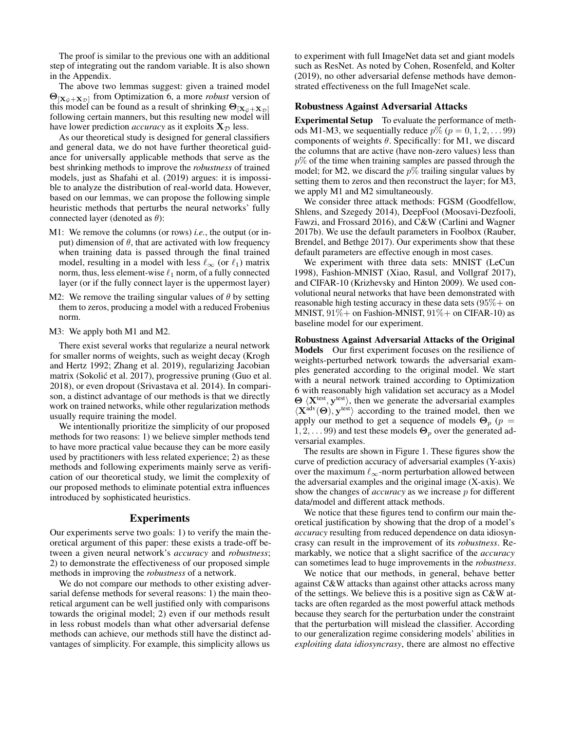The proof is similar to the previous one with an additional step of integrating out the random variable. It is also shown in the Appendix.

The above two lemmas suggest: given a trained model  $\Theta_{\left[\mathbf{X}_{\mathcal{G}}+\mathbf{X}_{\mathcal{D}}\right]}$  from Optimization 6, a more *robust* version of this model can be found as a result of shrinking  $\Theta_{[X_G+X_D]}$ following certain manners, but this resulting new model will have lower prediction *accuracy* as it exploits  $X_{\mathcal{D}}$  less.

As our theoretical study is designed for general classifiers and general data, we do not have further theoretical guidance for universally applicable methods that serve as the best shrinking methods to improve the *robustness* of trained models, just as Shafahi et al. (2019) argues: it is impossible to analyze the distribution of real-world data. However, based on our lemmas, we can propose the following simple heuristic methods that perturbs the neural networks' fully connected layer (denoted as  $\theta$ ):

- M1: We remove the columns (or rows) *i.e.*, the output (or input) dimension of  $\theta$ , that are activated with low frequency when training data is passed through the final trained model, resulting in a model with less  $\ell_{\infty}$  (or  $\ell_1$ ) matrix norm, thus, less element-wise  $\ell_1$  norm, of a fully connected layer (or if the fully connect layer is the uppermost layer)
- M2: We remove the trailing singular values of  $\theta$  by setting them to zeros, producing a model with a reduced Frobenius norm.
- M3: We apply both M1 and M2.

There exist several works that regularize a neural network for smaller norms of weights, such as weight decay (Krogh and Hertz 1992; Zhang et al. 2019), regularizing Jacobian matrix (Sokolić et al. 2017), progressive pruning (Guo et al. 2018), or even dropout (Srivastava et al. 2014). In comparison, a distinct advantage of our methods is that we directly work on trained networks, while other regularization methods usually require training the model.

We intentionally prioritize the simplicity of our proposed methods for two reasons: 1) we believe simpler methods tend to have more practical value because they can be more easily used by practitioners with less related experience; 2) as these methods and following experiments mainly serve as verification of our theoretical study, we limit the complexity of our proposed methods to eliminate potential extra influences introduced by sophisticated heuristics.

# Experiments

Our experiments serve two goals: 1) to verify the main theoretical argument of this paper: these exists a trade-off between a given neural network's *accuracy* and *robustness*; 2) to demonstrate the effectiveness of our proposed simple methods in improving the *robustness* of a network.

We do not compare our methods to other existing adversarial defense methods for several reasons: 1) the main theoretical argument can be well justified only with comparisons towards the original model; 2) even if our methods result in less robust models than what other adversarial defense methods can achieve, our methods still have the distinct advantages of simplicity. For example, this simplicity allows us

to experiment with full ImageNet data set and giant models such as ResNet. As noted by Cohen, Rosenfeld, and Kolter (2019), no other adversarial defense methods have demonstrated effectiveness on the full ImageNet scale.

#### Robustness Against Adversarial Attacks

Experimental Setup To evaluate the performance of methods M1-M3, we sequentially reduce  $p\%$  ( $p = 0, 1, 2, \ldots$  99) components of weights  $\theta$ . Specifically: for M1, we discard the columns that are active (have non-zero values) less than  $p\%$  of the time when training samples are passed through the model; for M2, we discard the  $p\%$  trailing singular values by setting them to zeros and then reconstruct the layer; for M3, we apply M1 and M2 simultaneously.

We consider three attack methods: FGSM (Goodfellow, Shlens, and Szegedy 2014), DeepFool (Moosavi-Dezfooli, Fawzi, and Frossard 2016), and C&W (Carlini and Wagner 2017b). We use the default parameters in Foolbox (Rauber, Brendel, and Bethge 2017). Our experiments show that these default parameters are effective enough in most cases.

We experiment with three data sets: MNIST (LeCun 1998), Fashion-MNIST (Xiao, Rasul, and Vollgraf 2017), and CIFAR-10 (Krizhevsky and Hinton 2009). We used convolutional neural networks that have been demonstrated with reasonable high testing accuracy in these data sets  $(95\% + \text{ on } 1)$ MNIST,  $91\%$  + on Fashion-MNIST,  $91\%$  + on CIFAR-10) as baseline model for our experiment.

Robustness Against Adversarial Attacks of the Original Models Our first experiment focuses on the resilience of weights-perturbed network towards the adversarial examples generated according to the original model. We start with a neural network trained according to Optimization 6 with reasonably high validation set accuracy as a Model  $\Theta$   $\langle X^{test}, y^{test} \rangle$ , then we generate the adversarial examples  $\langle \mathbf{X}^{\text{adv}}(\Theta), \mathbf{y}^{\text{test}} \rangle$  according to the trained model, then we apply our method to get a sequence of models  $\Theta_p$  ( $p =$  $1, 2, \ldots 99$ ) and test these models  $\Theta_p$  over the generated adversarial examples.

The results are shown in Figure 1. These figures show the curve of prediction accuracy of adversarial examples (Y-axis) over the maximum  $\ell_{\infty}$ -norm perturbation allowed between the adversarial examples and the original image (X-axis). We show the changes of *accuracy* as we increase p for different data/model and different attack methods.

We notice that these figures tend to confirm our main theoretical justification by showing that the drop of a model's *accuracy* resulting from reduced dependence on data idiosyncrasy can result in the improvement of its *robustness*. Remarkably, we notice that a slight sacrifice of the *accuracy* can sometimes lead to huge improvements in the *robustness*.

We notice that our methods, in general, behave better against C&W attacks than against other attacks across many of the settings. We believe this is a positive sign as C&W attacks are often regarded as the most powerful attack methods because they search for the perturbation under the constraint that the perturbation will mislead the classifier. According to our generalization regime considering models' abilities in *exploiting data idiosyncrasy*, there are almost no effective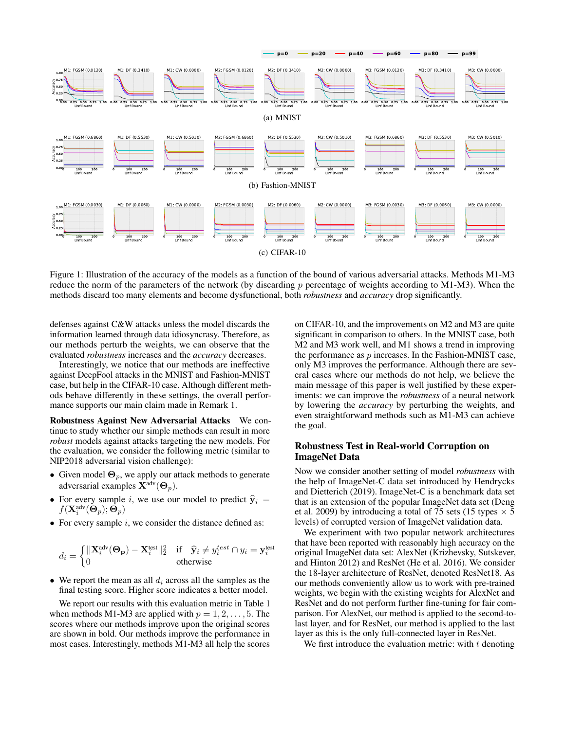

Figure 1: Illustration of the accuracy of the models as a function of the bound of various adversarial attacks. Methods M1-M3 reduce the norm of the parameters of the network (by discarding p percentage of weights according to M1-M3). When the methods discard too many elements and become dysfunctional, both *robustness* and *accuracy* drop significantly.

defenses against C&W attacks unless the model discards the information learned through data idiosyncrasy. Therefore, as our methods perturb the weights, we can observe that the evaluated *robustness* increases and the *accuracy* decreases.

Interestingly, we notice that our methods are ineffective against DeepFool attacks in the MNIST and Fashion-MNIST case, but help in the CIFAR-10 case. Although different methods behave differently in these settings, the overall performance supports our main claim made in Remark 1.

Robustness Against New Adversarial Attacks We continue to study whether our simple methods can result in more *robust* models against attacks targeting the new models. For the evaluation, we consider the following metric (similar to NIP2018 adversarial vision challenge):

- Given model  $\Theta_p$ , we apply our attack methods to generate adversarial examples  $\mathbf{X}^{\text{adv}}(\mathbf{\Theta}_p)$ .
- For every sample i, we use our model to predict  $\hat{y}_i$  =  $f(\mathbf{X}^{\text{adv}}_i(\mathbf{\Theta}_p); \bar{\mathbf{\Theta}_p})$
- For every sample  $i$ , we consider the distance defined as:

$$
d_i = \begin{cases} ||\mathbf{X}_i^{\text{adv}}(\mathbf{\Theta_p}) - \mathbf{X}_i^{\text{test}}||_2^2 & \text{if } \hat{\mathbf{y}}_i \neq y_i^{\text{test}} \cap y_i = \mathbf{y}_i^{\text{test}} \\ 0 & \text{otherwise} \end{cases}
$$

• We report the mean as all  $d_i$  across all the samples as the final testing score. Higher score indicates a better model.

We report our results with this evaluation metric in Table 1 when methods M1-M3 are applied with  $p = 1, 2, \ldots, 5$ . The scores where our methods improve upon the original scores are shown in bold. Our methods improve the performance in most cases. Interestingly, methods M1-M3 all help the scores

on CIFAR-10, and the improvements on M2 and M3 are quite significant in comparison to others. In the MNIST case, both M2 and M3 work well, and M1 shows a trend in improving the performance as p increases. In the Fashion-MNIST case, only M3 improves the performance. Although there are several cases where our methods do not help, we believe the main message of this paper is well justified by these experiments: we can improve the *robustness* of a neural network by lowering the *accuracy* by perturbing the weights, and even straightforward methods such as M1-M3 can achieve the goal.

## Robustness Test in Real-world Corruption on ImageNet Data

Now we consider another setting of model *robustness* with the help of ImageNet-C data set introduced by Hendrycks and Dietterich (2019). ImageNet-C is a benchmark data set that is an extension of the popular ImageNet data set (Deng et al. 2009) by introducing a total of 75 sets (15 types  $\times$  5 levels) of corrupted version of ImageNet validation data.

We experiment with two popular network architectures that have been reported with reasonably high accuracy on the original ImageNet data set: AlexNet (Krizhevsky, Sutskever, and Hinton 2012) and ResNet (He et al. 2016). We consider the 18-layer architecture of ResNet, denoted ResNet18. As our methods conveniently allow us to work with pre-trained weights, we begin with the existing weights for AlexNet and ResNet and do not perform further fine-tuning for fair comparison. For AlexNet, our method is applied to the second-tolast layer, and for ResNet, our method is applied to the last layer as this is the only full-connected layer in ResNet.

We first introduce the evaluation metric: with  $t$  denoting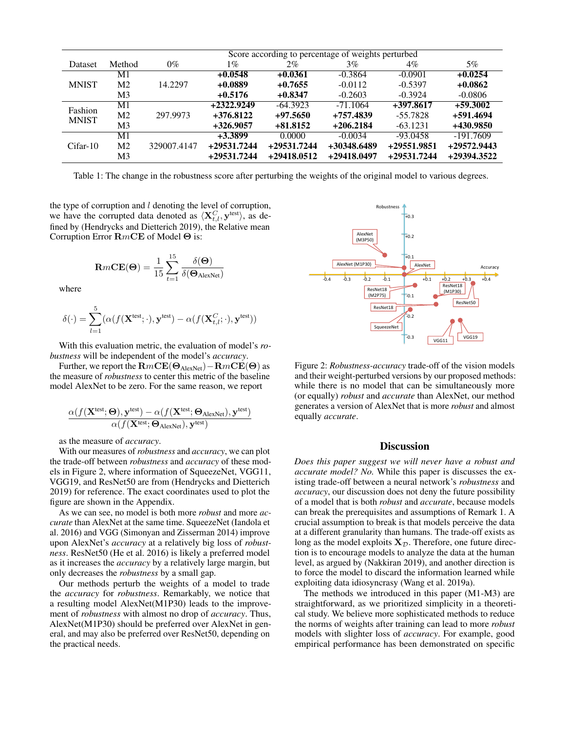|                         |                | Score according to percentage of weights perturbed |               |               |               |             |               |  |  |  |  |
|-------------------------|----------------|----------------------------------------------------|---------------|---------------|---------------|-------------|---------------|--|--|--|--|
| Dataset                 | Method         | $0\%$                                              | 1%            | $2\%$         | $3\%$         | $4\%$       | $5\%$         |  |  |  |  |
| <b>MNIST</b>            | M1             | 14.2297                                            | $+0.0548$     | $+0.0361$     | $-0.3864$     | $-0.0901$   | $+0.0254$     |  |  |  |  |
|                         | M <sub>2</sub> |                                                    | $+0.0889$     | $+0.7655$     | $-0.0112$     | $-0.5397$   | $+0.0862$     |  |  |  |  |
|                         | M3             |                                                    | $+0.5176$     | $+0.8347$     | $-0.2603$     | $-0.3924$   | $-0.0806$     |  |  |  |  |
| Fashion<br><b>MNIST</b> | M1             | 297.9973                                           | $+2322.9249$  | $-64.3923$    | $-71.1064$    | $+397.8617$ | $+59.3002$    |  |  |  |  |
|                         | M <sub>2</sub> |                                                    | $+376.8122$   | $+97.5650$    | +757.4839     | $-55.7828$  | +591.4694     |  |  |  |  |
|                         | M <sub>3</sub> |                                                    | $+326.9057$   | $+81.8152$    | $+206.2184$   | $-63.1231$  | +430.9850     |  |  |  |  |
| $Cifar-10$              | M1             | 329007.4147                                        | $+3.3899$     | 0.0000        | $-0.0034$     | $-93.0458$  | $-191.7609$   |  |  |  |  |
|                         | M <sub>2</sub> |                                                    | +29531.7244   | $+29531.7244$ | $+30348.6489$ | +29551.9851 | $+29572.9443$ |  |  |  |  |
|                         | M3             |                                                    | $+29531.7244$ | $+29418.0512$ | +29418.0497   | +29531.7244 | +29394.3522   |  |  |  |  |

Table 1: The change in the robustness score after perturbing the weights of the original model to various degrees.

the type of corruption and  $l$  denoting the level of corruption, we have the corrupted data denoted as  $\langle \mathbf{X}_{t,l}^C, \mathbf{y}^{\text{test}} \rangle$ , as defined by (Hendrycks and Dietterich 2019), the Relative mean Corruption Error RmCE of Model Θ is:

$$
\mathbf{R}m\mathbf{CE}(\mathbf{\Theta}) = \frac{1}{15}\sum_{t=1}^{15} \frac{\delta(\mathbf{\Theta})}{\delta(\mathbf{\Theta}_{\mathrm{AlexNet}})}
$$

where

$$
\delta(\cdot) = \sum_{l=1}^{5} (\alpha(f(\mathbf{X}^{\text{test}}; \cdot), \mathbf{y}^{\text{test}}) - \alpha(f(\mathbf{X}_{t,l}^{C}; \cdot), \mathbf{y}^{\text{test}}))
$$

With this evaluation metric, the evaluation of model's *robustness* will be independent of the model's *accuracy*.

Further, we report the  $\mathbf{R}mCE(\Theta_{\text{AlexNet}})-\mathbf{R}mCE(\Theta)$  as the measure of *robustness* to center this metric of the baseline model AlexNet to be zero. For the same reason, we report

$$
\frac{\alpha(f(\mathbf{X}^{\text{test}};\mathbf{\Theta}),\mathbf{y}^{\text{test}})-\alpha(f(\mathbf{X}^{\text{test}};\mathbf{\Theta}_{\text{AlexNet}}),\mathbf{y}^{\text{test}})}{\alpha(f(\mathbf{X}^{\text{test}};\mathbf{\Theta}_{\text{AlexNet}}),\mathbf{y}^{\text{test}})}
$$

as the measure of *accuracy*.

With our measures of *robustness* and *accuracy*, we can plot the trade-off between *robustness* and *accuracy* of these models in Figure 2, where information of SqueezeNet, VGG11, VGG19, and ResNet50 are from (Hendrycks and Dietterich 2019) for reference. The exact coordinates used to plot the figure are shown in the Appendix.

As we can see, no model is both more *robust* and more *accurate* than AlexNet at the same time. SqueezeNet (Iandola et al. 2016) and VGG (Simonyan and Zisserman 2014) improve upon AlexNet's *accuracy* at a relatively big loss of *robustness*. ResNet50 (He et al. 2016) is likely a preferred model as it increases the *accuracy* by a relatively large margin, but only decreases the *robustness* by a small gap.

Our methods perturb the weights of a model to trade the *accuracy* for *robustness*. Remarkably, we notice that a resulting model AlexNet(M1P30) leads to the improvement of *robustness* with almost no drop of *accuracy*. Thus, AlexNet(M1P30) should be preferred over AlexNet in general, and may also be preferred over ResNet50, depending on the practical needs.



Figure 2: *Robustness-accuracy* trade-off of the vision models and their weight-perturbed versions by our proposed methods: while there is no model that can be simultaneously more (or equally) *robust* and *accurate* than AlexNet, our method generates a version of AlexNet that is more *robust* and almost equally *accurate*.

# **Discussion**

*Does this paper suggest we will never have a robust and accurate model? No.* While this paper is discusses the existing trade-off between a neural network's *robustness* and *accuracy*, our discussion does not deny the future possibility of a model that is both *robust* and *accurate*, because models can break the prerequisites and assumptions of Remark 1. A crucial assumption to break is that models perceive the data at a different granularity than humans. The trade-off exists as long as the model exploits  $X_{\mathcal{D}}$ . Therefore, one future direction is to encourage models to analyze the data at the human level, as argued by (Nakkiran 2019), and another direction is to force the model to discard the information learned while exploiting data idiosyncrasy (Wang et al. 2019a).

The methods we introduced in this paper (M1-M3) are straightforward, as we prioritized simplicity in a theoretical study. We believe more sophisticated methods to reduce the norms of weights after training can lead to more *robust* models with slighter loss of *accuracy*. For example, good empirical performance has been demonstrated on specific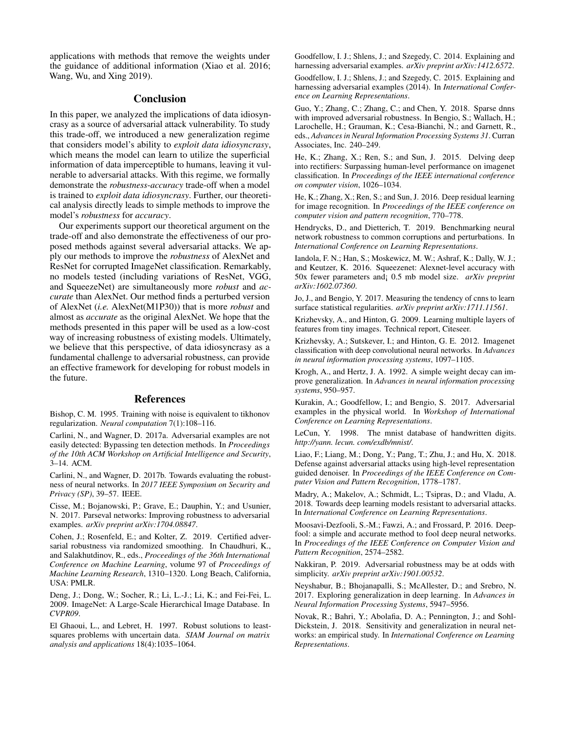applications with methods that remove the weights under the guidance of additional information (Xiao et al. 2016; Wang, Wu, and Xing 2019).

## **Conclusion**

In this paper, we analyzed the implications of data idiosyncrasy as a source of adversarial attack vulnerability. To study this trade-off, we introduced a new generalization regime that considers model's ability to *exploit data idiosyncrasy*, which means the model can learn to utilize the superficial information of data imperceptible to humans, leaving it vulnerable to adversarial attacks. With this regime, we formally demonstrate the *robustness*-*accuracy* trade-off when a model is trained to *exploit data idiosyncrasy*. Further, our theoretical analysis directly leads to simple methods to improve the model's *robustness* for *accuracy*.

Our experiments support our theoretical argument on the trade-off and also demonstrate the effectiveness of our proposed methods against several adversarial attacks. We apply our methods to improve the *robustness* of AlexNet and ResNet for corrupted ImageNet classification. Remarkably, no models tested (including variations of ResNet, VGG, and SqueezeNet) are simultaneously more *robust* and *accurate* than AlexNet. Our method finds a perturbed version of AlexNet (*i.e.* AlexNet(M1P30)) that is more *robust* and almost as *accurate* as the original AlexNet. We hope that the methods presented in this paper will be used as a low-cost way of increasing robustness of existing models. Ultimately, we believe that this perspective, of data idiosyncrasy as a fundamental challenge to adversarial robustness, can provide an effective framework for developing for robust models in the future.

### References

Bishop, C. M. 1995. Training with noise is equivalent to tikhonov regularization. *Neural computation* 7(1):108–116.

Carlini, N., and Wagner, D. 2017a. Adversarial examples are not easily detected: Bypassing ten detection methods. In *Proceedings of the 10th ACM Workshop on Artificial Intelligence and Security*, 3–14. ACM.

Carlini, N., and Wagner, D. 2017b. Towards evaluating the robustness of neural networks. In *2017 IEEE Symposium on Security and Privacy (SP)*, 39–57. IEEE.

Cisse, M.; Bojanowski, P.; Grave, E.; Dauphin, Y.; and Usunier, N. 2017. Parseval networks: Improving robustness to adversarial examples. *arXiv preprint arXiv:1704.08847*.

Cohen, J.; Rosenfeld, E.; and Kolter, Z. 2019. Certified adversarial robustness via randomized smoothing. In Chaudhuri, K., and Salakhutdinov, R., eds., *Proceedings of the 36th International Conference on Machine Learning*, volume 97 of *Proceedings of Machine Learning Research*, 1310–1320. Long Beach, California, USA: PMLR.

Deng, J.; Dong, W.; Socher, R.; Li, L.-J.; Li, K.; and Fei-Fei, L. 2009. ImageNet: A Large-Scale Hierarchical Image Database. In *CVPR09*.

El Ghaoui, L., and Lebret, H. 1997. Robust solutions to leastsquares problems with uncertain data. *SIAM Journal on matrix analysis and applications* 18(4):1035–1064.

Goodfellow, I. J.; Shlens, J.; and Szegedy, C. 2014. Explaining and harnessing adversarial examples. *arXiv preprint arXiv:1412.6572*.

Goodfellow, I. J.; Shlens, J.; and Szegedy, C. 2015. Explaining and harnessing adversarial examples (2014). In *International Conference on Learning Representations*.

Guo, Y.; Zhang, C.; Zhang, C.; and Chen, Y. 2018. Sparse dnns with improved adversarial robustness. In Bengio, S.; Wallach, H.; Larochelle, H.; Grauman, K.; Cesa-Bianchi, N.; and Garnett, R., eds., *Advances in Neural Information Processing Systems 31*. Curran Associates, Inc. 240–249.

He, K.; Zhang, X.; Ren, S.; and Sun, J. 2015. Delving deep into rectifiers: Surpassing human-level performance on imagenet classification. In *Proceedings of the IEEE international conference on computer vision*, 1026–1034.

He, K.; Zhang, X.; Ren, S.; and Sun, J. 2016. Deep residual learning for image recognition. In *Proceedings of the IEEE conference on computer vision and pattern recognition*, 770–778.

Hendrycks, D., and Dietterich, T. 2019. Benchmarking neural network robustness to common corruptions and perturbations. In *International Conference on Learning Representations*.

Iandola, F. N.; Han, S.; Moskewicz, M. W.; Ashraf, K.; Dally, W. J.; and Keutzer, K. 2016. Squeezenet: Alexnet-level accuracy with 50x fewer parameters and¡ 0.5 mb model size. *arXiv preprint arXiv:1602.07360*.

Jo, J., and Bengio, Y. 2017. Measuring the tendency of cnns to learn surface statistical regularities. *arXiv preprint arXiv:1711.11561*.

Krizhevsky, A., and Hinton, G. 2009. Learning multiple layers of features from tiny images. Technical report, Citeseer.

Krizhevsky, A.; Sutskever, I.; and Hinton, G. E. 2012. Imagenet classification with deep convolutional neural networks. In *Advances in neural information processing systems*, 1097–1105.

Krogh, A., and Hertz, J. A. 1992. A simple weight decay can improve generalization. In *Advances in neural information processing systems*, 950–957.

Kurakin, A.; Goodfellow, I.; and Bengio, S. 2017. Adversarial examples in the physical world. In *Workshop of International Conference on Learning Representations*.

LeCun, Y. 1998. The mnist database of handwritten digits. *http://yann. lecun. com/exdb/mnist/*.

Liao, F.; Liang, M.; Dong, Y.; Pang, T.; Zhu, J.; and Hu, X. 2018. Defense against adversarial attacks using high-level representation guided denoiser. In *Proceedings of the IEEE Conference on Computer Vision and Pattern Recognition*, 1778–1787.

Madry, A.; Makelov, A.; Schmidt, L.; Tsipras, D.; and Vladu, A. 2018. Towards deep learning models resistant to adversarial attacks. In *International Conference on Learning Representations*.

Moosavi-Dezfooli, S.-M.; Fawzi, A.; and Frossard, P. 2016. Deepfool: a simple and accurate method to fool deep neural networks. In *Proceedings of the IEEE Conference on Computer Vision and Pattern Recognition*, 2574–2582.

Nakkiran, P. 2019. Adversarial robustness may be at odds with simplicity. *arXiv preprint arXiv:1901.00532*.

Neyshabur, B.; Bhojanapalli, S.; McAllester, D.; and Srebro, N. 2017. Exploring generalization in deep learning. In *Advances in Neural Information Processing Systems*, 5947–5956.

Novak, R.; Bahri, Y.; Abolafia, D. A.; Pennington, J.; and Sohl-Dickstein, J. 2018. Sensitivity and generalization in neural networks: an empirical study. In *International Conference on Learning Representations*.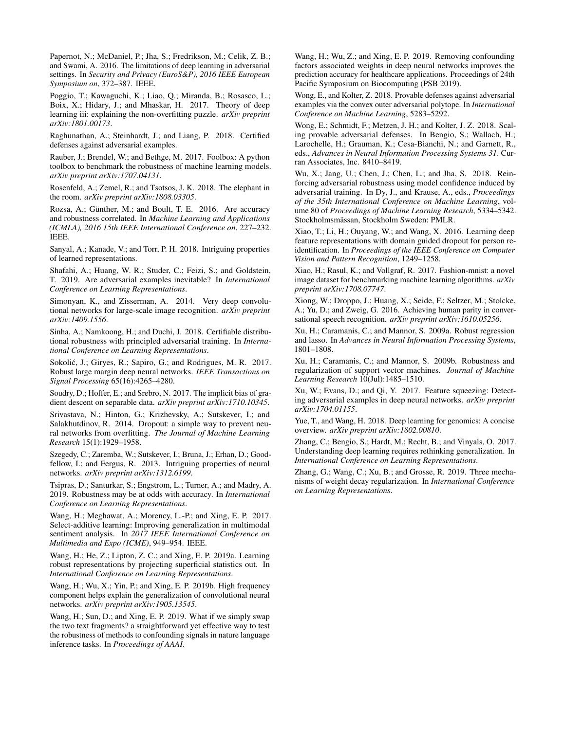Papernot, N.; McDaniel, P.; Jha, S.; Fredrikson, M.; Celik, Z. B.; and Swami, A. 2016. The limitations of deep learning in adversarial settings. In *Security and Privacy (EuroS&P), 2016 IEEE European Symposium on*, 372–387. IEEE.

Poggio, T.; Kawaguchi, K.; Liao, Q.; Miranda, B.; Rosasco, L.; Boix, X.; Hidary, J.; and Mhaskar, H. 2017. Theory of deep learning iii: explaining the non-overfitting puzzle. *arXiv preprint arXiv:1801.00173*.

Raghunathan, A.; Steinhardt, J.; and Liang, P. 2018. Certified defenses against adversarial examples.

Rauber, J.; Brendel, W.; and Bethge, M. 2017. Foolbox: A python toolbox to benchmark the robustness of machine learning models. *arXiv preprint arXiv:1707.04131*.

Rosenfeld, A.; Zemel, R.; and Tsotsos, J. K. 2018. The elephant in the room. *arXiv preprint arXiv:1808.03305*.

Rozsa, A.; Günther, M.; and Boult, T. E. 2016. Are accuracy and robustness correlated. In *Machine Learning and Applications (ICMLA), 2016 15th IEEE International Conference on*, 227–232. IEEE.

Sanyal, A.; Kanade, V.; and Torr, P. H. 2018. Intriguing properties of learned representations.

Shafahi, A.; Huang, W. R.; Studer, C.; Feizi, S.; and Goldstein, T. 2019. Are adversarial examples inevitable? In *International Conference on Learning Representations*.

Simonyan, K., and Zisserman, A. 2014. Very deep convolutional networks for large-scale image recognition. *arXiv preprint arXiv:1409.1556*.

Sinha, A.; Namkoong, H.; and Duchi, J. 2018. Certifiable distributional robustness with principled adversarial training. In *International Conference on Learning Representations*.

Sokolić, J.; Giryes, R.; Sapiro, G.; and Rodrigues, M. R. 2017. Robust large margin deep neural networks. *IEEE Transactions on Signal Processing* 65(16):4265–4280.

Soudry, D.; Hoffer, E.; and Srebro, N. 2017. The implicit bias of gradient descent on separable data. *arXiv preprint arXiv:1710.10345*.

Srivastava, N.; Hinton, G.; Krizhevsky, A.; Sutskever, I.; and Salakhutdinov, R. 2014. Dropout: a simple way to prevent neural networks from overfitting. *The Journal of Machine Learning Research* 15(1):1929–1958.

Szegedy, C.; Zaremba, W.; Sutskever, I.; Bruna, J.; Erhan, D.; Goodfellow, I.; and Fergus, R. 2013. Intriguing properties of neural networks. *arXiv preprint arXiv:1312.6199*.

Tsipras, D.; Santurkar, S.; Engstrom, L.; Turner, A.; and Madry, A. 2019. Robustness may be at odds with accuracy. In *International Conference on Learning Representations*.

Wang, H.; Meghawat, A.; Morency, L.-P.; and Xing, E. P. 2017. Select-additive learning: Improving generalization in multimodal sentiment analysis. In *2017 IEEE International Conference on Multimedia and Expo (ICME)*, 949–954. IEEE.

Wang, H.; He, Z.; Lipton, Z. C.; and Xing, E. P. 2019a. Learning robust representations by projecting superficial statistics out. In *International Conference on Learning Representations*.

Wang, H.; Wu, X.; Yin, P.; and Xing, E. P. 2019b. High frequency component helps explain the generalization of convolutional neural networks. *arXiv preprint arXiv:1905.13545*.

Wang, H.; Sun, D.; and Xing, E. P. 2019. What if we simply swap the two text fragments? a straightforward yet effective way to test the robustness of methods to confounding signals in nature language inference tasks. In *Proceedings of AAAI*.

Wang, H.; Wu, Z.; and Xing, E. P. 2019. Removing confounding factors associated weights in deep neural networks improves the prediction accuracy for healthcare applications. Proceedings of 24th Pacific Symposium on Biocomputing (PSB 2019).

Wong, E., and Kolter, Z. 2018. Provable defenses against adversarial examples via the convex outer adversarial polytope. In *International Conference on Machine Learning*, 5283–5292.

Wong, E.; Schmidt, F.; Metzen, J. H.; and Kolter, J. Z. 2018. Scaling provable adversarial defenses. In Bengio, S.; Wallach, H.; Larochelle, H.; Grauman, K.; Cesa-Bianchi, N.; and Garnett, R., eds., *Advances in Neural Information Processing Systems 31*. Curran Associates, Inc. 8410–8419.

Wu, X.; Jang, U.; Chen, J.; Chen, L.; and Jha, S. 2018. Reinforcing adversarial robustness using model confidence induced by adversarial training. In Dy, J., and Krause, A., eds., *Proceedings of the 35th International Conference on Machine Learning*, volume 80 of *Proceedings of Machine Learning Research*, 5334–5342. Stockholmsmässan, Stockholm Sweden: PMLR.

Xiao, T.; Li, H.; Ouyang, W.; and Wang, X. 2016. Learning deep feature representations with domain guided dropout for person reidentification. In *Proceedings of the IEEE Conference on Computer Vision and Pattern Recognition*, 1249–1258.

Xiao, H.; Rasul, K.; and Vollgraf, R. 2017. Fashion-mnist: a novel image dataset for benchmarking machine learning algorithms. *arXiv preprint arXiv:1708.07747*.

Xiong, W.; Droppo, J.; Huang, X.; Seide, F.; Seltzer, M.; Stolcke, A.; Yu, D.; and Zweig, G. 2016. Achieving human parity in conversational speech recognition. *arXiv preprint arXiv:1610.05256*.

Xu, H.; Caramanis, C.; and Mannor, S. 2009a. Robust regression and lasso. In *Advances in Neural Information Processing Systems*, 1801–1808.

Xu, H.; Caramanis, C.; and Mannor, S. 2009b. Robustness and regularization of support vector machines. *Journal of Machine Learning Research* 10(Jul):1485–1510.

Xu, W.; Evans, D.; and Qi, Y. 2017. Feature squeezing: Detecting adversarial examples in deep neural networks. *arXiv preprint arXiv:1704.01155*.

Yue, T., and Wang, H. 2018. Deep learning for genomics: A concise overview. *arXiv preprint arXiv:1802.00810*.

Zhang, C.; Bengio, S.; Hardt, M.; Recht, B.; and Vinyals, O. 2017. Understanding deep learning requires rethinking generalization. In *International Conference on Learning Representations*.

Zhang, G.; Wang, C.; Xu, B.; and Grosse, R. 2019. Three mechanisms of weight decay regularization. In *International Conference on Learning Representations*.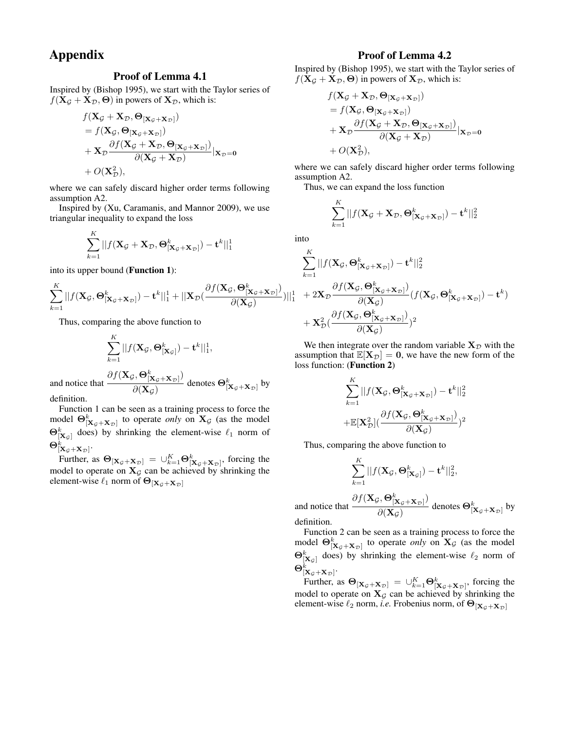# Appendix

# Proof of Lemma 4.1

Inspired by (Bishop 1995), we start with the Taylor series of  $f(\mathbf{X}_{\mathcal{G}} + \mathbf{X}_{\mathcal{D}}, \boldsymbol{\Theta})$  in powers of  $\mathbf{X}_{\mathcal{D}}$ , which is:

$$
f(\mathbf{X}_{\mathcal{G}} + \mathbf{X}_{\mathcal{D}}, \mathbf{\Theta}_{[\mathbf{X}_{\mathcal{G}} + \mathbf{X}_{\mathcal{D}}]})
$$
  
=  $f(\mathbf{X}_{\mathcal{G}}, \mathbf{\Theta}_{[\mathbf{X}_{\mathcal{G}} + \mathbf{X}_{\mathcal{D}}]})$   
+  $\mathbf{X}_{\mathcal{D}} \frac{\partial f(\mathbf{X}_{\mathcal{G}} + \mathbf{X}_{\mathcal{D}}, \mathbf{\Theta}_{[\mathbf{X}_{\mathcal{G}} + \mathbf{X}_{\mathcal{D}}]})}{\partial(\mathbf{X}_{\mathcal{G}} + \mathbf{X}_{\mathcal{D}})} | \mathbf{x}_{\mathcal{D}} = \mathbf{0}$   
+  $O(\mathbf{X}_{\mathcal{D}}^2),$ 

where we can safely discard higher order terms following assumption A2.

Inspired by (Xu, Caramanis, and Mannor 2009), we use triangular inequality to expand the loss

$$
\sum_{k=1}^K ||f(\mathbf{X}_{\mathcal{G}} + \mathbf{X}_{\mathcal{D}}, \boldsymbol{\Theta}_{[\mathbf{X}_{\mathcal{G}} + \mathbf{X}_{\mathcal{D}}]}^k) - \mathbf{t}^k||_1^1
$$

into its upper bound (Function 1):

$$
\sum_{k=1}^K ||f(\mathbf{X}_{\mathcal{G}},\boldsymbol{\Theta}^k_{[\mathbf{X}_{\mathcal{G}}+\mathbf{X}_{\mathcal{D}}]}) - \mathbf{t}^k||_1^1 + ||\mathbf{X}_{\mathcal{D}}(\frac{\partial f(\mathbf{X}_{\mathcal{G}},\boldsymbol{\Theta}^k_{[\mathbf{X}_{\mathcal{G}}+\mathbf{X}_{\mathcal{D}}]})}{\partial(\mathbf{X}_{\mathcal{G}})})||_1^1
$$

Thus, comparing the above function to

$$
\sum_{k=1}^K ||f(\mathbf{X}_{\mathcal{G}},\boldsymbol{\Theta}^k_{[\mathbf{X}_{\mathcal{G}}]}) - \mathbf{t}^k||_1^1,
$$

and notice that  $\partial f(\mathbf{X}_\mathcal{G}, \mathbf{\Theta}^k_{[\mathbf{X}_\mathcal{G} + \mathbf{X}_\mathcal{D}]})$  $\frac{\partial (\mathbf{X}_{\mathcal{G}} + \mathbf{X}_{\mathcal{D}})^{\prime}}{\partial (\mathbf{X}_{\mathcal{G}})}$  denotes  $\mathbf{\Theta}_{[\mathbf{X}_{\mathcal{G}} + \mathbf{X}_{\mathcal{D}}]}^{k}$  by definition.

Function 1 can be seen as a training process to force the model  $\Theta^k_{[\mathbf{X}_{\mathcal{G}}+\mathbf{X}_{\mathcal{D}}]}$  to operate *only* on  $\mathbf{X}_{\mathcal{G}}$  (as the model  $\Theta^k_{[\mathbf{X}_\mathcal{G}]}$  does) by shrinking the element-wise  $\ell_1$  norm of

 $\Theta^k_{[{\bf X}_{\cal G}+{\bf X}_{\cal D}]}$ .

Further, as  $\Theta_{[{\bf X}_{\cal G}+{\bf X}_{\cal D}]} = \bigcup_{k=1}^K \Theta_{[{\bf X}_{\cal G}+{\bf X}_{\cal D}]}^k$ , forcing the model to operate on  $X_{\mathcal{G}}$  can be achieved by shrinking the element-wise  $\ell_1$  norm of  $\Theta_{[{\bf X}_{\mathcal{G}}+{\bf X}_{\mathcal{D}}]}$ 

## Proof of Lemma 4.2

Inspired by (Bishop 1995), we start with the Taylor series of  $f(\mathbf{X}_{\mathcal{G}} + \mathbf{X}_{\mathcal{D}}, \boldsymbol{\Theta})$  in powers of  $\mathbf{X}_{\mathcal{D}}$ , which is:

$$
f(\mathbf{X}_{\mathcal{G}} + \mathbf{X}_{\mathcal{D}}, \mathbf{\Theta}_{[\mathbf{X}_{\mathcal{G}} + \mathbf{X}_{\mathcal{D}}]})
$$
  
=  $f(\mathbf{X}_{\mathcal{G}}, \mathbf{\Theta}_{[\mathbf{X}_{\mathcal{G}} + \mathbf{X}_{\mathcal{D}}]})$   
+  $\mathbf{X}_{\mathcal{D}} \frac{\partial f(\mathbf{X}_{\mathcal{G}} + \mathbf{X}_{\mathcal{D}}, \mathbf{\Theta}_{[\mathbf{X}_{\mathcal{G}} + \mathbf{X}_{\mathcal{D}}]})}{\partial(\mathbf{X}_{\mathcal{G}} + \mathbf{X}_{\mathcal{D}})} |_{\mathbf{X}_{\mathcal{D}} = 0}$   
+  $O(\mathbf{X}_{\mathcal{D}}^2),$ 

where we can safely discard higher order terms following assumption A2.

Thus, we can expand the loss function

$$
\sum_{k=1}^K ||f(\mathbf{X}_{\mathcal{G}} + \mathbf{X}_{\mathcal{D}}, \boldsymbol{\Theta}_{[\mathbf{X}_{\mathcal{G}} + \mathbf{X}_{\mathcal{D}}]}^k) - \mathbf{t}^k||_2^2
$$

into

$$
\begin{aligned} &\sum_{k=1}^K||f(\mathbf{X}_{\mathcal{G}},\boldsymbol{\Theta}^k_{[\mathbf{X}_{\mathcal{G}}+\mathbf{X}_{\mathcal{D}}]})-\mathbf{t}^k||_2^2\\&+2\mathbf{X}_{\mathcal{D}}\frac{\partial f(\mathbf{X}_{\mathcal{G}},\boldsymbol{\Theta}^k_{[\mathbf{X}_{\mathcal{G}}+\mathbf{X}_{\mathcal{D}}]})}{\partial(\mathbf{X}_{\mathcal{G}})}(f(\mathbf{X}_{\mathcal{G}},\boldsymbol{\Theta}^k_{[\mathbf{X}_{\mathcal{G}}+\mathbf{X}_{\mathcal{D}}]})-\mathbf{t}^k)\\&+\mathbf{X}_{\mathcal{D}}^2(\frac{\partial f(\mathbf{X}_{\mathcal{G}},\boldsymbol{\Theta}^k_{[\mathbf{X}_{\mathcal{G}}+\mathbf{X}_{\mathcal{D}}]})}{\partial(\mathbf{X}_{\mathcal{G}})})^2\end{aligned}
$$

We then integrate over the random variable  $X_{\mathcal{D}}$  with the assumption that  $\mathbb{E}[X_{\mathcal{D}}] = 0$ , we have the new form of the loss function: (Function 2)

$$
\sum_{k=1}^{K} ||f(\mathbf{X}_{\mathcal{G}}, \boldsymbol{\Theta}_{[\mathbf{X}_{\mathcal{G}}+\mathbf{X}_{\mathcal{D}}]}^k) - \mathbf{t}^k||_2^2
$$
  
+ 
$$
\mathbb{E}[\mathbf{X}_{\mathcal{D}}^2](\frac{\partial f(\mathbf{X}_{\mathcal{G}}, \boldsymbol{\Theta}_{[\mathbf{X}_{\mathcal{G}}+\mathbf{X}_{\mathcal{D}}]}^k)}{\partial(\mathbf{X}_{\mathcal{G}})})^2
$$

Thus, comparing the above function to

$$
\sum_{k=1}^K ||f(\mathbf{X}_{\mathcal{G}},\mathbf{\Theta}^k_{[\mathbf{X}_{\mathcal{G}}]}) - \mathbf{t}^k||_2^2,
$$

and notice that  $\partial f(\mathbf{X}_\mathcal{G}, \mathbf{\Theta}^k_{[\mathbf{X}_\mathcal{G} + \mathbf{X}_\mathcal{D}]})$  $\frac{\partial (\mathbf{X}_{\mathcal{G}} + \mathbf{X}_{\mathcal{D}})^{\prime}}{\partial (\mathbf{X}_{\mathcal{G}})}$  denotes  $\mathbf{\Theta}_{[\mathbf{X}_{\mathcal{G}} + \mathbf{X}_{\mathcal{D}}]}^{k}$  by definition.

Function 2 can be seen as a training process to force the model  $\Theta^k_{[\mathbf{X}_{\mathcal{G}}+\mathbf{X}_{\mathcal{D}}]}$  to operate *only* on  $\mathbf{X}_{\mathcal{G}}$  (as the model  $\Theta^k_{[\mathbf{X}_\mathcal{G}]}$  does) by shrinking the element-wise  $\ell_2$  norm of  $\Theta^k_{[{\bf X}_{\cal G}+{\bf X}_{\cal D}]}$ .

Further, as  $\Theta_{[{\bf X}_{\cal G}+{\bf X}_{\cal D}]} = \bigcup_{k=1}^K \Theta_{[{\bf X}_{\cal G}+{\bf X}_{\cal D}]}^k$ , forcing the model to operate on  $X_{\mathcal{G}}$  can be achieved by shrinking the element-wise  $\ell_2$  norm, *i.e.* Frobenius norm, of  $\Theta_{\left[\mathbf{X}_{\mathcal{G}}+\mathbf{X}_{\mathcal{D}}\right]}$